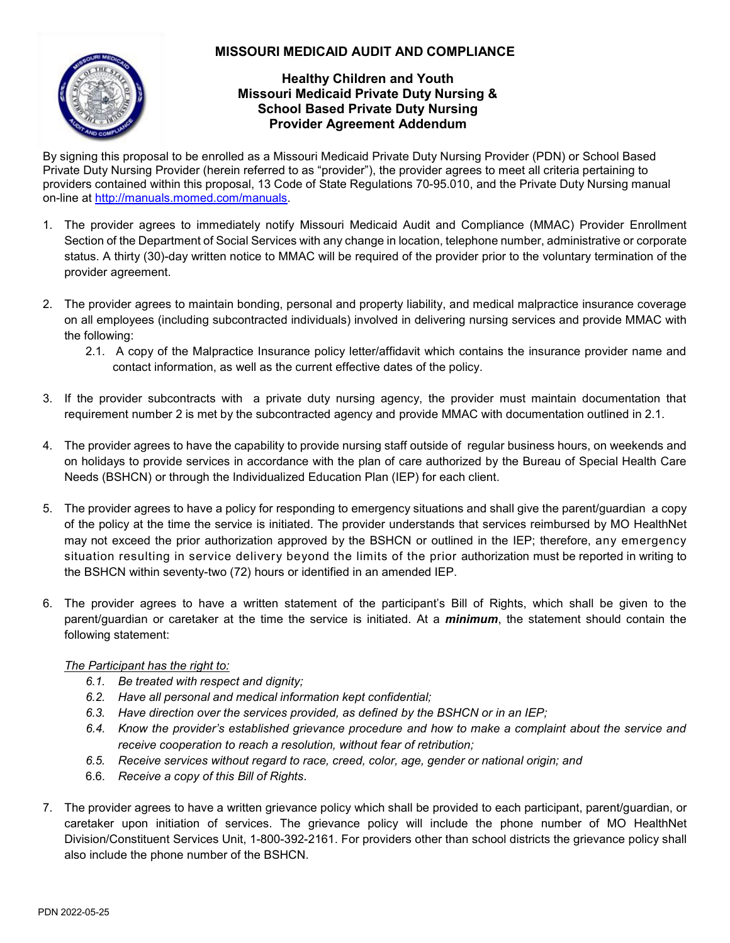## **MISSOURI MEDICAID AUDIT AND COMPLIANCE**



## **Healthy Children and Youth Missouri Medicaid Private Duty Nursing & School Based Private Duty Nursing Provider Agreement Addendum**

By signing this proposal to be enrolled as a Missouri Medicaid Private Duty Nursing Provider (PDN) or School Based Private Duty Nursing Provider (herein referred to as "provider"), the provider agrees to meet all criteria pertaining to providers contained within this proposal, 13 Code of State Regulations 70-95.010, and the Private Duty Nursing manual on-line at [http://manuals.momed.com/manuals.](http://manuals.momed.com/manuals/)

- 1. The provider agrees to immediately notify Missouri Medicaid Audit and Compliance (MMAC) Provider Enrollment Section of the Department of Social Services with any change in location, telephone number, administrative or corporate status. A thirty (30)-day written notice to MMAC will be required of the provider prior to the voluntary termination of the provider agreement.
- 2. The provider agrees to maintain bonding, personal and property liability, and medical malpractice insurance coverage on all employees (including subcontracted individuals) involved in delivering nursing services and provide MMAC with the following:
	- 2.1. A copy of the Malpractice Insurance policy letter/affidavit which contains the insurance provider name and contact information, as well as the current effective dates of the policy.
- 3. If the provider subcontracts with a private duty nursing agency, the provider must maintain documentation that requirement number 2 is met by the subcontracted agency and provide MMAC with documentation outlined in 2.1.
- 4. The provider agrees to have the capability to provide nursing staff outside of regular business hours, on weekends and on holidays to provide services in accordance with the plan of care authorized by the Bureau of Special Health Care Needs (BSHCN) or through the Individualized Education Plan (IEP) for each client.
- 5. The provider agrees to have a policy for responding to emergency situations and shall give the parent/guardian a copy of the policy at the time the service is initiated. The provider understands that services reimbursed by MO HealthNet may not exceed the prior authorization approved by the BSHCN or outlined in the IEP; therefore, any emergency situation resulting in service delivery beyond the limits of the prior authorization must be reported in writing to the BSHCN within seventy-two (72) hours or identified in an amended IEP.
- 6. The provider agrees to have a written statement of the participant's Bill of Rights, which shall be given to the parent/guardian or caretaker at the time the service is initiated. At a *minimum*, the statement should contain the following statement:

## *The Participant has the right to:*

- *6.1. Be treated with respect and dignity;*
- *6.2. Have all personal and medical information kept confidential;*
- *6.3. Have direction over the services provided, as defined by the BSHCN or in an IEP;*
- 6.4. Know the provider's established grievance procedure and how to make a complaint about the service and *receive cooperation to reach a resolution, without fear of retribution;*
- *6.5. Receive services without regard to race, creed, color, age, gender or national origin; and*
- 6.6. *Receive a copy of this Bill of Rights*.
- 7. The provider agrees to have a written grievance policy which shall be provided to each participant, parent/guardian, or caretaker upon initiation of services. The grievance policy will include the phone number of MO HealthNet Division/Constituent Services Unit, 1-800-392-2161. For providers other than school districts the grievance policy shall also include the phone number of the BSHCN.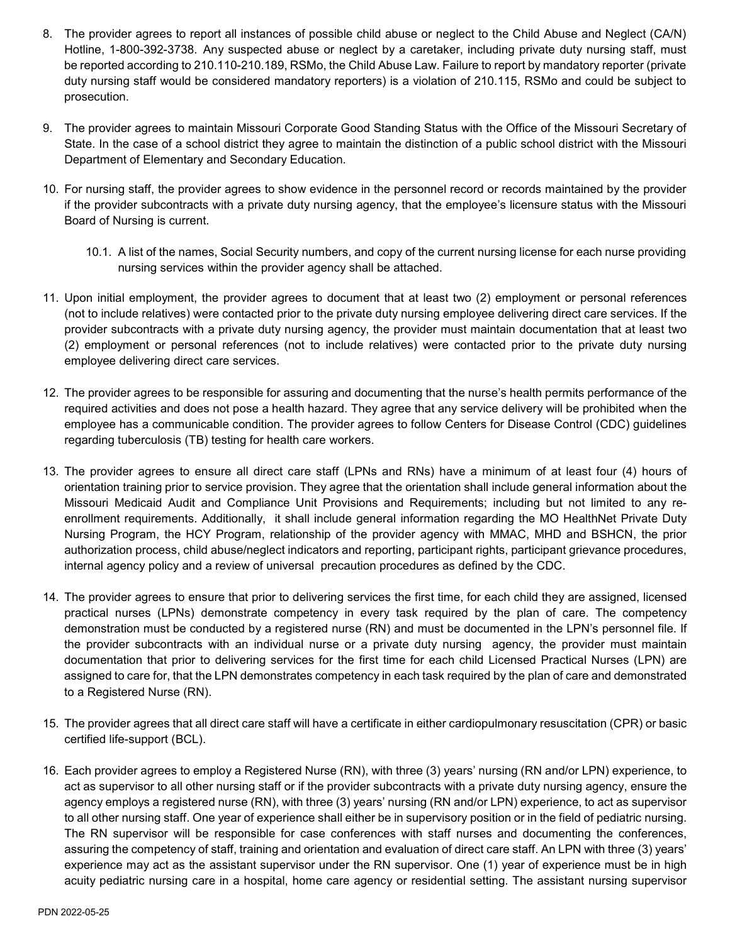- 8. The provider agrees to report all instances of possible child abuse or neglect to the Child Abuse and Neglect (CA/N) Hotline, 1-800-392-3738. Any suspected abuse or neglect by a caretaker, including private duty nursing staff, must be reported according to 210.110-210.189, RSMo, the Child Abuse Law. Failure to report by mandatory reporter (private duty nursing staff would be considered mandatory reporters) is a violation of 210.115, RSMo and could be subject to prosecution.
- 9. The provider agrees to maintain Missouri Corporate Good Standing Status with the Office of the Missouri Secretary of State. In the case of a school district they agree to maintain the distinction of a public school district with the Missouri Department of Elementary and Secondary Education.
- 10. For nursing staff, the provider agrees to show evidence in the personnel record or records maintained by the provider if the provider subcontracts with a private duty nursing agency, that the employee's licensure status with the Missouri Board of Nursing is current.
	- 10.1. A list of the names, Social Security numbers, and copy of the current nursing license for each nurse providing nursing services within the provider agency shall be attached.
- 11. Upon initial employment, the provider agrees to document that at least two (2) employment or personal references (not to include relatives) were contacted prior to the private duty nursing employee delivering direct care services. If the provider subcontracts with a private duty nursing agency, the provider must maintain documentation that at least two (2) employment or personal references (not to include relatives) were contacted prior to the private duty nursing employee delivering direct care services.
- 12. The provider agrees to be responsible for assuring and documenting that the nurse's health permits performance of the required activities and does not pose a health hazard. They agree that any service delivery will be prohibited when the employee has a communicable condition. The provider agrees to follow Centers for Disease Control (CDC) guidelines regarding tuberculosis (TB) testing for health care workers.
- 13. The provider agrees to ensure all direct care staff (LPNs and RNs) have a minimum of at least four (4) hours of orientation training prior to service provision. They agree that the orientation shall include general information about the Missouri Medicaid Audit and Compliance Unit Provisions and Requirements; including but not limited to any reenrollment requirements. Additionally, it shall include general information regarding the MO HealthNet Private Duty Nursing Program, the HCY Program, relationship of the provider agency with MMAC, MHD and BSHCN, the prior authorization process, child abuse/neglect indicators and reporting, participant rights, participant grievance procedures, internal agency policy and a review of universal precaution procedures as defined by the CDC.
- 14. The provider agrees to ensure that prior to delivering services the first time, for each child they are assigned, licensed practical nurses (LPNs) demonstrate competency in every task required by the plan of care. The competency demonstration must be conducted by a registered nurse (RN) and must be documented in the LPN's personnel file. If the provider subcontracts with an individual nurse or a private duty nursing agency, the provider must maintain documentation that prior to delivering services for the first time for each child Licensed Practical Nurses (LPN) are assigned to care for, that the LPN demonstrates competency in each task required by the plan of care and demonstrated to a Registered Nurse (RN).
- 15. The provider agrees that all direct care staff will have a certificate in either cardiopulmonary resuscitation (CPR) or basic certified life-support (BCL).
- 16. Each provider agrees to employ a Registered Nurse (RN), with three (3) years' nursing (RN and/or LPN) experience, to act as supervisor to all other nursing staff or if the provider subcontracts with a private duty nursing agency, ensure the agency employs a registered nurse (RN), with three (3) years' nursing (RN and/or LPN) experience, to act as supervisor to all other nursing staff. One year of experience shall either be in supervisory position or in the field of pediatric nursing. The RN supervisor will be responsible for case conferences with staff nurses and documenting the conferences, assuring the competency of staff, training and orientation and evaluation of direct care staff. An LPN with three (3) years' experience may act as the assistant supervisor under the RN supervisor. One (1) year of experience must be in high acuity pediatric nursing care in a hospital, home care agency or residential setting. The assistant nursing supervisor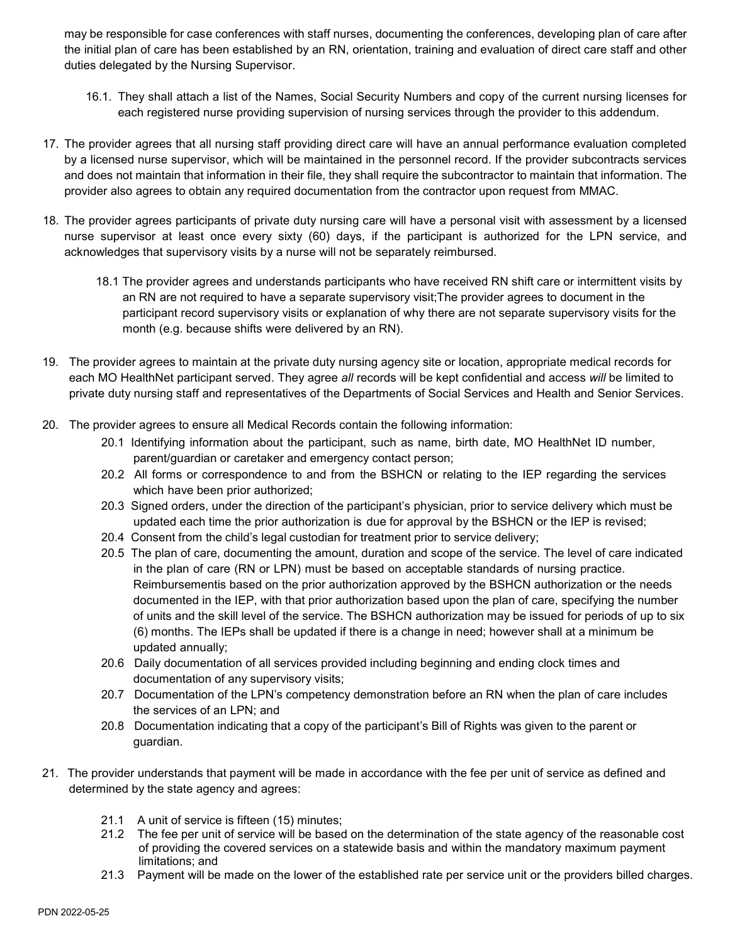may be responsible for case conferences with staff nurses, documenting the conferences, developing plan of care after the initial plan of care has been established by an RN, orientation, training and evaluation of direct care staff and other duties delegated by the Nursing Supervisor.

- 16.1. They shall attach a list of the Names, Social Security Numbers and copy of the current nursing licenses for each registered nurse providing supervision of nursing services through the provider to this addendum.
- 17. The provider agrees that all nursing staff providing direct care will have an annual performance evaluation completed by a licensed nurse supervisor, which will be maintained in the personnel record. If the provider subcontracts services and does not maintain that information in their file, they shall require the subcontractor to maintain that information. The provider also agrees to obtain any required documentation from the contractor upon request from MMAC.
- 18. The provider agrees participants of private duty nursing care will have a personal visit with assessment by a licensed nurse supervisor at least once every sixty (60) days, if the participant is authorized for the LPN service, and acknowledges that supervisory visits by a nurse will not be separately reimbursed.
	- 18.1 The provider agrees and understands participants who have received RN shift care or intermittent visits by an RN are not required to have a separate supervisory visit;The provider agrees to document in the participant record supervisory visits or explanation of why there are not separate supervisory visits for the month (e.g. because shifts were delivered by an RN).
- 19. The provider agrees to maintain at the private duty nursing agency site or location, appropriate medical records for each MO HealthNet participant served. They agree *all* records will be kept confidential and access *will* be limited to private duty nursing staff and representatives of the Departments of Social Services and Health and Senior Services.
- 20. The provider agrees to ensure all Medical Records contain the following information:
	- 20.1 Identifying information about the participant, such as name, birth date, MO HealthNet ID number, parent/guardian or caretaker and emergency contact person;
	- 20.2 All forms or correspondence to and from the BSHCN or relating to the IEP regarding the services which have been prior authorized;
	- 20.3 Signed orders, under the direction of the participant's physician, prior to service delivery which must be updated each time the prior authorization is due for approval by the BSHCN or the IEP is revised;
	- 20.4 Consent from the child's legal custodian for treatment prior to service delivery;
	- 20.5 The plan of care, documenting the amount, duration and scope of the service. The level of care indicated in the plan of care (RN or LPN) must be based on acceptable standards of nursing practice. Reimbursementis based on the prior authorization approved by the BSHCN authorization or the needs documented in the IEP, with that prior authorization based upon the plan of care, specifying the number of units and the skill level of the service. The BSHCN authorization may be issued for periods of up to six (6) months. The IEPs shall be updated if there is a change in need; however shall at a minimum be updated annually;
	- 20.6 Daily documentation of all services provided including beginning and ending clock times and documentation of any supervisory visits;
	- 20.7 Documentation of the LPN's competency demonstration before an RN when the plan of care includes the services of an LPN; and
	- 20.8 Documentation indicating that a copy of the participant's Bill of Rights was given to the parent or guardian.
- 21. The provider understands that payment will be made in accordance with the fee per unit of service as defined and determined by the state agency and agrees:
	- 21.1 A unit of service is fifteen (15) minutes;
	- 21.2 The fee per unit of service will be based on the determination of the state agency of the reasonable cost of providing the covered services on a statewide basis and within the mandatory maximum payment limitations; and
	- 21.3 Payment will be made on the lower of the established rate per service unit or the providers billed charges.